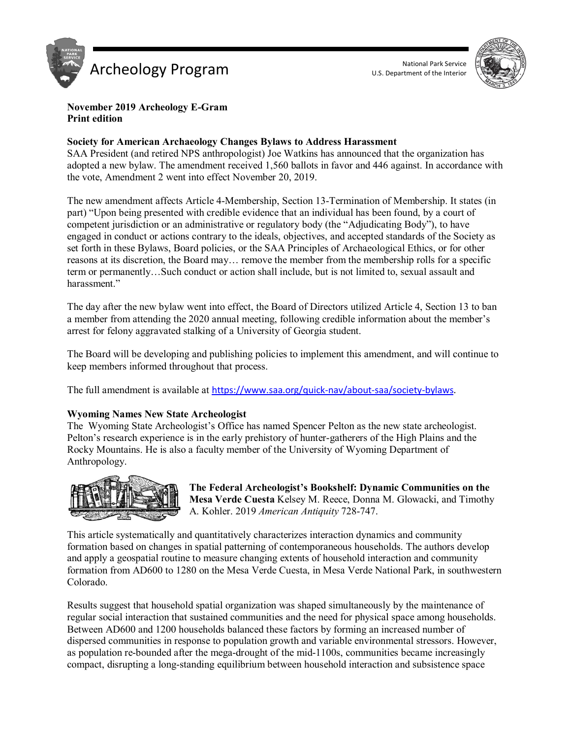



#### **November 2019 Archeology E-Gram Print edition**

### **Society for American Archaeology Changes Bylaws to Address Harassment**

SAA President (and retired NPS anthropologist) Joe Watkins has announced that the organization has adopted a new bylaw. The amendment received 1,560 ballots in favor and 446 against. In accordance with the vote, Amendment 2 went into effect November 20, 2019.

The new amendment affects Article 4-Membership, Section 13-Termination of Membership. It states (in part) "Upon being presented with credible evidence that an individual has been found, by a court of competent jurisdiction or an administrative or regulatory body (the "Adjudicating Body"), to have engaged in conduct or actions contrary to the ideals, objectives, and accepted standards of the Society as set forth in these Bylaws, Board policies, or the SAA Principles of Archaeological Ethics, or for other reasons at its discretion, the Board may… remove the member from the membership rolls for a specific term or permanently…Such conduct or action shall include, but is not limited to, sexual assault and harassment."

The day after the new bylaw went into effect, the Board of Directors utilized Article 4, Section 13 to ban a member from attending the 2020 annual meeting, following credible information about the member's arrest for felony aggravated stalking of a University of Georgia student.

The Board will be developing and publishing policies to implement this amendment, and will continue to keep members informed throughout that process.

The full amendment is available at [https://www.saa.org/quick-nav/about-saa/society-bylaws.](https://www.saa.org/quick-nav/about-saa/society-bylaws)

## **Wyoming Names New State Archeologist**

The Wyoming State Archeologist's Office has named Spencer Pelton as the new state archeologist. Pelton's research experience is in the early prehistory of hunter-gatherers of the High Plains and the Rocky Mountains. He is also a faculty member of the University of Wyoming Department of Anthropology.



**The Federal Archeologist's Bookshelf: Dynamic Communities on the Mesa Verde Cuesta** Kelsey M. Reece, Donna M. Glowacki, and Timothy A. Kohler. 2019 *American Antiquity* 728-747.

This article systematically and quantitatively characterizes interaction dynamics and community formation based on changes in spatial patterning of contemporaneous households. The authors develop and apply a geospatial routine to measure changing extents of household interaction and community formation from AD600 to 1280 on the Mesa Verde Cuesta, in Mesa Verde National Park, in southwestern Colorado.

Results suggest that household spatial organization was shaped simultaneously by the maintenance of regular social interaction that sustained communities and the need for physical space among households. Between AD600 and 1200 households balanced these factors by forming an increased number of dispersed communities in response to population growth and variable environmental stressors. However, as population re-bounded after the mega-drought of the mid-1100s, communities became increasingly compact, disrupting a long-standing equilibrium between household interaction and subsistence space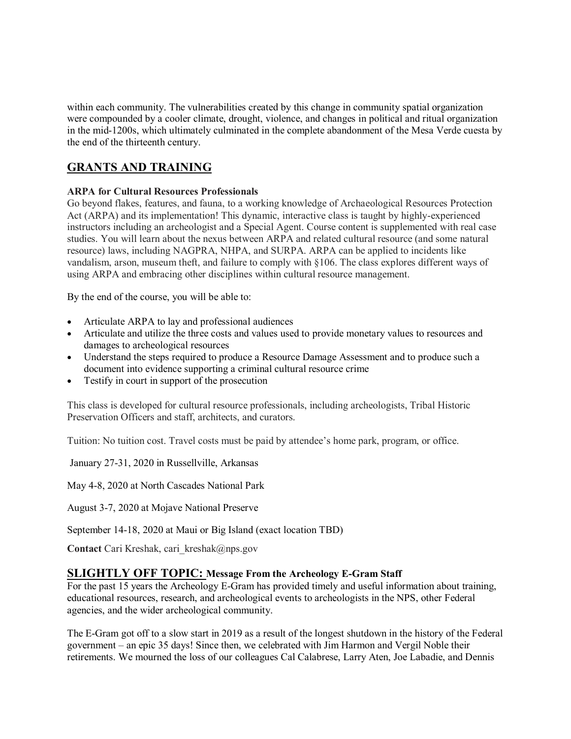within each community. The vulnerabilities created by this change in community spatial organization were compounded by a cooler climate, drought, violence, and changes in political and ritual organization in the mid-1200s, which ultimately culminated in the complete abandonment of the Mesa Verde cuesta by the end of the thirteenth century.

# **GRANTS AND TRAINING**

## **ARPA for Cultural Resources Professionals**

Go beyond flakes, features, and fauna, to a working knowledge of Archaeological Resources Protection Act (ARPA) and its implementation! This dynamic, interactive class is taught by highly-experienced instructors including an archeologist and a Special Agent. Course content is supplemented with real case studies. You will learn about the nexus between ARPA and related cultural resource (and some natural resource) laws, including NAGPRA, NHPA, and SURPA. ARPA can be applied to incidents like vandalism, arson, museum theft, and failure to comply with §106. The class explores different ways of using ARPA and embracing other disciplines within cultural resource management.

By the end of the course, you will be able to:

- Articulate ARPA to lay and professional audiences
- Articulate and utilize the three costs and values used to provide monetary values to resources and damages to archeological resources
- Understand the steps required to produce a Resource Damage Assessment and to produce such a document into evidence supporting a criminal cultural resource crime
- Testify in court in support of the prosecution

This class is developed for cultural resource professionals, including archeologists, Tribal Historic Preservation Officers and staff, architects, and curators.

Tuition: No tuition cost. Travel costs must be paid by attendee's home park, program, or office.

January 27-31, 2020 in Russellville, Arkansas

May 4-8, 2020 at North Cascades National Park

August 3-7, 2020 at Mojave National Preserve

September 14-18, 2020 at Maui or Big Island (exact location TBD)

**Contact** Cari Kreshak, cari\_kreshak@nps.gov

## **SLIGHTLY OFF TOPIC: Message From the Archeology E-Gram Staff**

For the past 15 years the Archeology E-Gram has provided timely and useful information about training, educational resources, research, and archeological events to archeologists in the NPS, other Federal agencies, and the wider archeological community.

The E-Gram got off to a slow start in 2019 as a result of the longest shutdown in the history of the Federal government – an epic 35 days! Since then, we celebrated with Jim Harmon and Vergil Noble their retirements. We mourned the loss of our colleagues Cal Calabrese, Larry Aten, Joe Labadie, and Dennis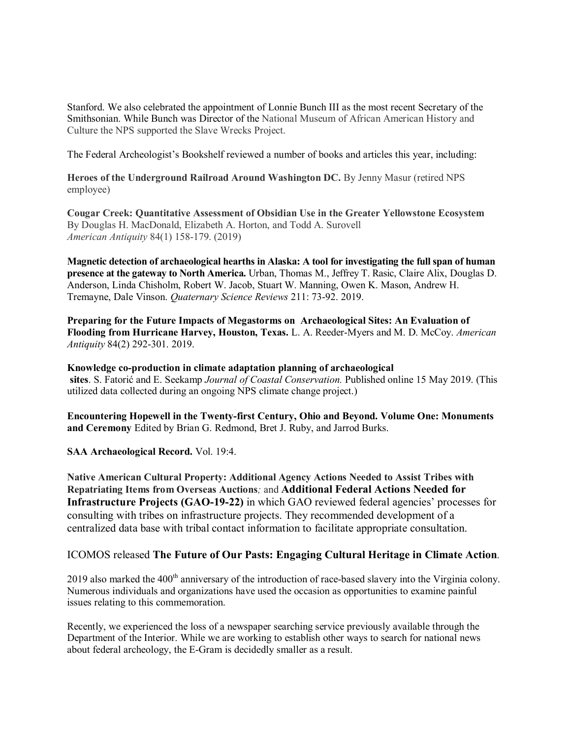Stanford. We also celebrated the appointment of Lonnie Bunch III as the most recent Secretary of the Smithsonian. While Bunch was Director of the National Museum of African American History and Culture the NPS supported the Slave Wrecks Project.

The Federal Archeologist's Bookshelf reviewed a number of books and articles this year, including:

**Heroes of the Underground Railroad Around Washington DC.** By Jenny Masur (retired NPS employee)

**Cougar Creek: Quantitative Assessment of Obsidian Use in the Greater Yellowstone Ecosystem**  By Douglas H. MacDonald, Elizabeth A. Horton, and Todd A. Surovell *American Antiquity* 84(1) 158-179. (2019)

**Magnetic detection of archaeological hearths in Alaska: A tool for investigating the full span of human presence at the gateway to North America.** Urban, Thomas M., Jeffrey T. Rasic, Claire Alix, Douglas D. Anderson, Linda Chisholm, Robert W. Jacob, Stuart W. Manning, Owen K. Mason, Andrew H. Tremayne, Dale Vinson. *Quaternary Science Reviews* 211: 73-92. 2019.

**Preparing for the Future Impacts of Megastorms on Archaeological Sites: An Evaluation of Flooding from Hurricane Harvey, Houston, Texas.** L. A. Reeder-Myers and M. D. McCoy. *American Antiquity* 84(2) 292-301. 2019.

**Knowledge co-production in climate adaptation planning of archaeological sites**. S. Fatorić and E. Seekamp *Journal of Coastal Conservation.* Published online 15 May 2019. (This utilized data collected during an ongoing NPS climate change project.)

**Encountering Hopewell in the Twenty-first Century, Ohio and Beyond. Volume One: Monuments and Ceremony** Edited by Brian G. Redmond, Bret J. Ruby, and Jarrod Burks.

**SAA Archaeological Record.** Vol. 19:4.

**Native American Cultural Property: Additional Agency Actions Needed to Assist Tribes with Repatriating Items from Overseas Auctions***;* and **Additional Federal Actions Needed for Infrastructure Projects (GAO-19-22)** in which GAO reviewed federal agencies' processes for consulting with tribes on infrastructure projects. They recommended development of a centralized data base with tribal contact information to facilitate appropriate consultation.

## ICOMOS released **The Future of Our Pasts: Engaging Cultural Heritage in Climate Action***.*

2019 also marked the 400<sup>th</sup> anniversary of the introduction of race-based slavery into the Virginia colony. Numerous individuals and organizations have used the occasion as opportunities to examine painful issues relating to this commemoration.

Recently, we experienced the loss of a newspaper searching service previously available through the Department of the Interior. While we are working to establish other ways to search for national news about federal archeology, the E-Gram is decidedly smaller as a result.